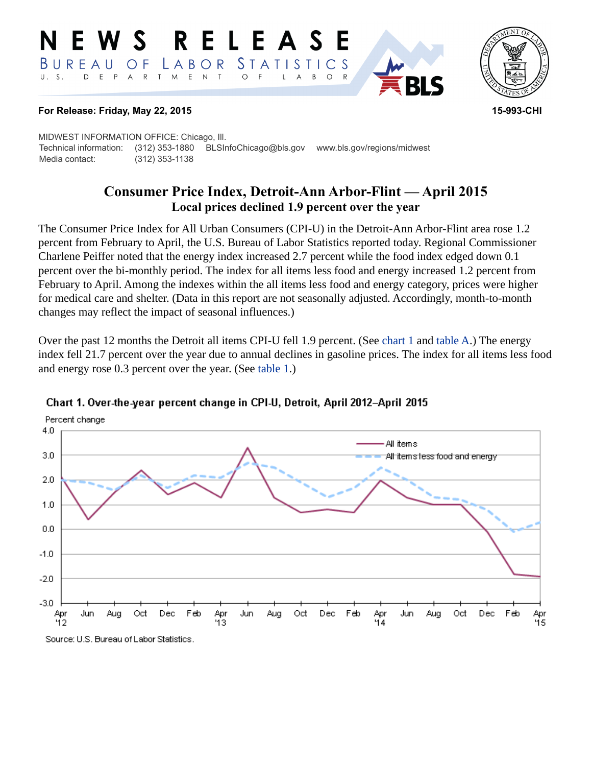#### **RELEASE** W S *STATISTICS* BUREAU LABOR O F  $E$  $\top$  $E$  $P$  $\overline{A}$  ${\sf R}$  $\top$ M  $\mathsf{N}$  $\circ$ B  $\circ$ A



#### **For Release: Friday, May 22, 2015 15-993-CHI**

MIDWEST INFORMATION OFFICE: Chicago, Ill. Technical information: (312) 353-1880 BLSInfoChicago@bls.gov www.bls.gov/regions/midwest Media contact: (312) 353-1138

# **Consumer Price Index, Detroit-Ann Arbor-Flint — April 2015 Local prices declined 1.9 percent over the year**

The Consumer Price Index for All Urban Consumers (CPI-U) in the Detroit-Ann Arbor-Flint area rose 1.2 percent from February to April, the U.S. Bureau of Labor Statistics reported today. Regional Commissioner Charlene Peiffer noted that the energy index increased 2.7 percent while the food index edged down 0.1 percent over the bi-monthly period. The index for all items less food and energy increased 1.2 percent from February to April. Among the indexes within the all items less food and energy category, prices were higher for medical care and shelter. (Data in this report are not seasonally adjusted. Accordingly, month-to-month changes may reflect the impact of seasonal influences.)

Over the past 12 months the Detroit all items CPI-U fell 1.9 percent. (See [chart 1](#page-0-0) and [table A.](#page-1-0)) The energy index fell 21.7 percent over the year due to annual declines in gasoline prices. The index for all items less food and energy rose 0.3 percent over the year. (See [table 1](#page-3-0).)



## <span id="page-0-0"></span>Chart 1. Over-the-year percent change in CPI-U, Detroit, April 2012-April 2015

Source: U.S. Bureau of Labor Statistics.

Percent change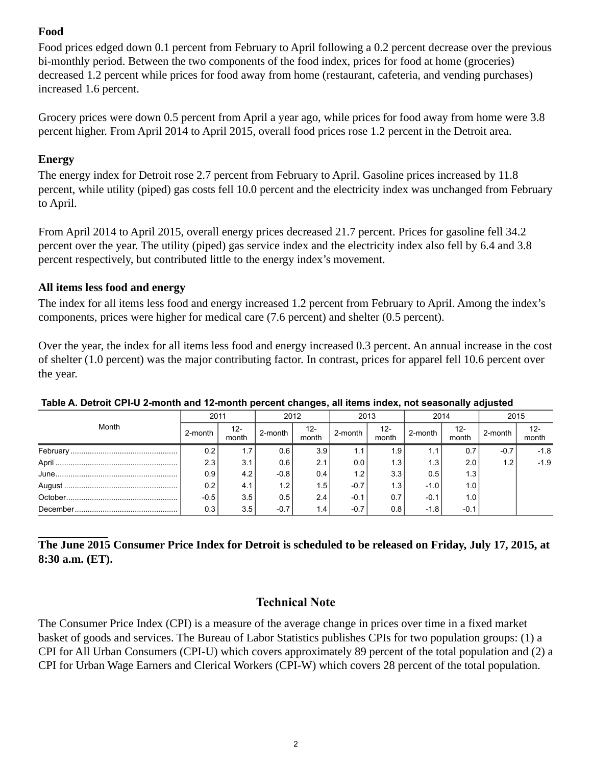## **Food**

Food prices edged down 0.1 percent from February to April following a 0.2 percent decrease over the previous bi-monthly period. Between the two components of the food index, prices for food at home (groceries) decreased 1.2 percent while prices for food away from home (restaurant, cafeteria, and vending purchases) increased 1.6 percent.

Grocery prices were down 0.5 percent from April a year ago, while prices for food away from home were 3.8 percent higher. From April 2014 to April 2015, overall food prices rose 1.2 percent in the Detroit area.

## **Energy**

The energy index for Detroit rose 2.7 percent from February to April. Gasoline prices increased by 11.8 percent, while utility (piped) gas costs fell 10.0 percent and the electricity index was unchanged from February to April.

From April 2014 to April 2015, overall energy prices decreased 21.7 percent. Prices for gasoline fell 34.2 percent over the year. The utility (piped) gas service index and the electricity index also fell by 6.4 and 3.8 percent respectively, but contributed little to the energy index's movement.

## **All items less food and energy**

The index for all items less food and energy increased 1.2 percent from February to April. Among the index's components, prices were higher for medical care (7.6 percent) and shelter (0.5 percent).

Over the year, the index for all items less food and energy increased 0.3 percent. An annual increase in the cost of shelter (1.0 percent) was the major contributing factor. In contrast, prices for apparel fell 10.6 percent over the year.

| Month          | 2011    |                 | 2012    |              | 2013    |                  | 2014    |                 | 2015    |                |
|----------------|---------|-----------------|---------|--------------|---------|------------------|---------|-----------------|---------|----------------|
|                | 2-month | $12 -$<br>month | 2-month | 12-<br>month | 2-month | $12 -$<br>month  | 2-month | $12 -$<br>month | 2-month | $12-$<br>month |
|                | 0.2     | 1.7             | 0.61    | 3.9          |         | 1.9              | 1.1     | 0.7             | $-0.7$  | $-1.8$         |
|                | 2.3     | 3.1             | 0.61    | 2.1          | 0.0     | 1.3              | 1.3     | 2.0             | 1.2     | $-1.9$         |
| $June \dots 1$ | 0.9     | 4.2             | $-0.8$  | 0.4          | 1.2     | 3.3              | 0.5     | 1.3             |         |                |
|                | 0.2     | 4.1             | 1.2     | 1.5          | $-0.7$  | 1.3 <sub>1</sub> | $-1.0$  | 1.0             |         |                |
|                | $-0.5$  | 3.5             | 0.5     | 2.4          | $-0.1$  | 0.7              | $-0.1$  | 1.0             |         |                |
|                | 0.3     | 3.5             | $-0.7$  | 1.4          | $-0.7$  | 0.8              | $-1.8$  | $-0.1$          |         |                |

#### <span id="page-1-0"></span>**Table A. Detroit CPI-U 2-month and 12-month percent changes, all items index, not seasonally adjusted**

**The June 2015 Consumer Price Index for Detroit is scheduled to be released on Friday, July 17, 2015, at 8:30 a.m. (ET).**

## **Technical Note**

The Consumer Price Index (CPI) is a measure of the average change in prices over time in a fixed market basket of goods and services. The Bureau of Labor Statistics publishes CPIs for two population groups: (1) a CPI for All Urban Consumers (CPI-U) which covers approximately 89 percent of the total population and (2) a CPI for Urban Wage Earners and Clerical Workers (CPI-W) which covers 28 percent of the total population.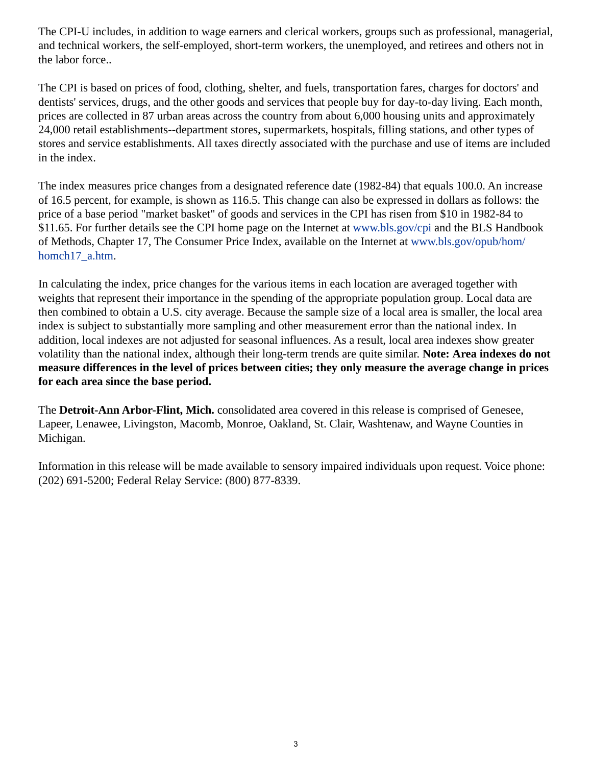The CPI-U includes, in addition to wage earners and clerical workers, groups such as professional, managerial, and technical workers, the self-employed, short-term workers, the unemployed, and retirees and others not in the labor force..

The CPI is based on prices of food, clothing, shelter, and fuels, transportation fares, charges for doctors' and dentists' services, drugs, and the other goods and services that people buy for day-to-day living. Each month, prices are collected in 87 urban areas across the country from about 6,000 housing units and approximately 24,000 retail establishments--department stores, supermarkets, hospitals, filling stations, and other types of stores and service establishments. All taxes directly associated with the purchase and use of items are included in the index.

The index measures price changes from a designated reference date (1982-84) that equals 100.0. An increase of 16.5 percent, for example, is shown as 116.5. This change can also be expressed in dollars as follows: the price of a base period "market basket" of goods and services in the CPI has risen from \$10 in 1982-84 to \$11.65. For further details see the CPI home page on the Internet at [www.bls.gov/cpi](https://www.bls.gov/cpi) and the BLS Handbook of Methods, Chapter 17, The Consumer Price Index, available on the Internet at [www.bls.gov/opub/hom/](https://www.bls.gov/opub/hom/homch17_a.htm) [homch17\\_a.htm](https://www.bls.gov/opub/hom/homch17_a.htm).

In calculating the index, price changes for the various items in each location are averaged together with weights that represent their importance in the spending of the appropriate population group. Local data are then combined to obtain a U.S. city average. Because the sample size of a local area is smaller, the local area index is subject to substantially more sampling and other measurement error than the national index. In addition, local indexes are not adjusted for seasonal influences. As a result, local area indexes show greater volatility than the national index, although their long-term trends are quite similar. **Note: Area indexes do not measure differences in the level of prices between cities; they only measure the average change in prices for each area since the base period.**

The **Detroit-Ann Arbor-Flint, Mich.** consolidated area covered in this release is comprised of Genesee, Lapeer, Lenawee, Livingston, Macomb, Monroe, Oakland, St. Clair, Washtenaw, and Wayne Counties in Michigan.

Information in this release will be made available to sensory impaired individuals upon request. Voice phone: (202) 691-5200; Federal Relay Service: (800) 877-8339.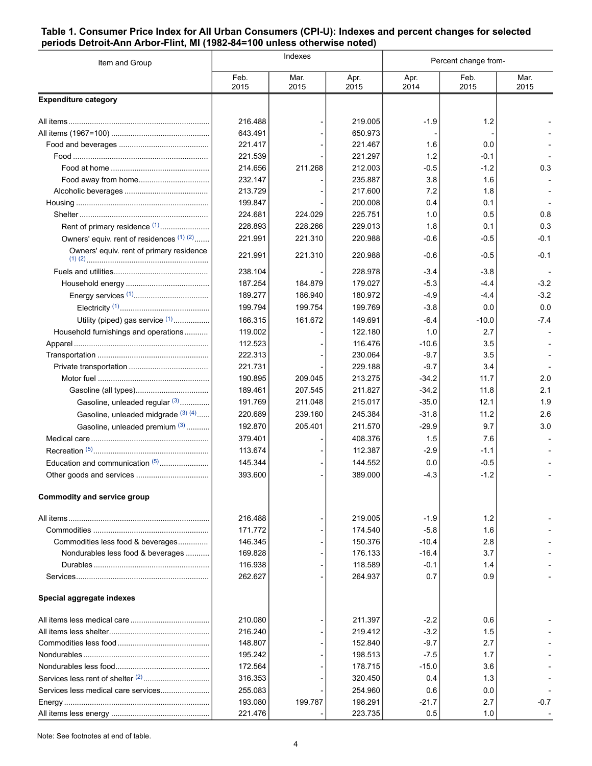#### <span id="page-3-0"></span>**Table 1. Consumer Price Index for All Urban Consumers (CPI-U): Indexes and percent changes for selected periods Detroit-Ann Arbor-Flint, MI (1982-84=100 unless otherwise noted)**

| Item and Group                            |              | Indexes      |              | Percent change from- |              |              |  |
|-------------------------------------------|--------------|--------------|--------------|----------------------|--------------|--------------|--|
|                                           | Feb.<br>2015 | Mar.<br>2015 | Apr.<br>2015 | Apr.<br>2014         | Feb.<br>2015 | Mar.<br>2015 |  |
| <b>Expenditure category</b>               |              |              |              |                      |              |              |  |
|                                           | 216.488      |              | 219.005      | $-1.9$               | 1.2          |              |  |
|                                           | 643.491      |              | 650.973      |                      |              |              |  |
|                                           | 221.417      |              | 221.467      | 1.6                  | 0.0          |              |  |
|                                           | 221.539      |              | 221.297      | 1.2                  | -0.1         |              |  |
|                                           | 214.656      | 211.268      | 212.003      | $-0.5$               | $-1.2$       | 0.3          |  |
| Food away from home                       | 232.147      |              | 235.887      | 3.8                  | 1.6          |              |  |
|                                           | 213.729      |              | 217.600      | 7.2                  | 1.8          |              |  |
|                                           | 199.847      |              | 200.008      | 0.4                  | 0.1          |              |  |
|                                           | 224.681      | 224.029      | 225.751      | 1.0                  | 0.5          | 0.8          |  |
| Rent of primary residence <sup>(1)</sup>  | 228.893      | 228.266      | 229.013      | 1.8                  | 0.1          | 0.3          |  |
| Owners' equiv. rent of residences (1) (2) | 221.991      | 221.310      | 220.988      | $-0.6$               | -0.5         | $-0.1$       |  |
| Owners' equiv. rent of primary residence  | 221.991      | 221.310      | 220.988      | $-0.6$               | $-0.5$       | $-0.1$       |  |
|                                           | 238.104      |              | 228.978      | $-3.4$               | $-3.8$       |              |  |
|                                           | 187.254      | 184.879      | 179.027      | $-5.3$               | -4.4         | $-3.2$       |  |
|                                           | 189.277      | 186.940      | 180.972      | $-4.9$               | $-4.4$       | $-3.2$       |  |
|                                           | 199.794      | 199.754      | 199.769      | $-3.8$               | 0.0          | 0.0          |  |
| Utility (piped) gas service (1)           | 166.315      | 161.672      | 149.691      | $-6.4$               | $-10.0$      | $-7.4$       |  |
| Household furnishings and operations      | 119.002      |              | 122.180      | 1.0                  | 2.7          |              |  |
|                                           | 112.523      |              | 116.476      | $-10.6$              | 3.5          |              |  |
|                                           | 222.313      |              | 230.064      | $-9.7$               | 3.5          |              |  |
|                                           | 221.731      |              | 229.188      | $-9.7$               | 3.4          |              |  |
|                                           | 190.895      | 209.045      | 213.275      | $-34.2$              | 11.7         | 2.0          |  |
|                                           | 189.461      | 207.545      | 211.827      | $-34.2$              | 11.8         | 2.1          |  |
| Gasoline, unleaded regular (3)            | 191.769      | 211.048      | 215.017      | $-35.0$              | 12.1         | 1.9          |  |
| Gasoline, unleaded midgrade (3) (4)       | 220.689      | 239.160      | 245.384      | $-31.8$              | 11.2         | 2.6          |  |
| Gasoline, unleaded premium (3)            | 192.870      | 205.401      | 211.570      | $-29.9$              | 9.7          | 3.0          |  |
|                                           | 379.401      |              | 408.376      | 1.5                  | 7.6          |              |  |
|                                           | 113.674      |              | 112.387      | $-2.9$               | $-1.1$       |              |  |
| Education and communication (5)           | 145.344      |              | 144.552      | 0.0                  | $-0.5$       |              |  |
|                                           | 393.600      |              | 389.000      | $-4.3$               | $-1.2$       |              |  |
| <b>Commodity and service group</b>        |              |              |              |                      |              |              |  |
|                                           | 216.488      |              | 219.005      | $-1.9$               | 1.2          |              |  |
|                                           | 171.772      |              | 174.540      | $-5.8$               | 1.6          |              |  |
| Commodities less food & beverages         | 146.345      |              | 150.376      | $-10.4$              | 2.8          |              |  |
| Nondurables less food & beverages         | 169.828      |              | 176.133      | $-16.4$              | 3.7          |              |  |
|                                           | 116.938      |              | 118.589      | $-0.1$               | 1.4          |              |  |
|                                           | 262.627      |              | 264.937      | 0.7                  | 0.9          |              |  |
| Special aggregate indexes                 |              |              |              |                      |              |              |  |
|                                           | 210.080      |              | 211.397      | $-2.2$               | 0.6          |              |  |
|                                           | 216.240      |              | 219.412      | $-3.2$               | 1.5          |              |  |
|                                           | 148.807      |              | 152.840      | $-9.7$               | 2.7          |              |  |
|                                           | 195.242      |              | 198.513      | $-7.5$               | 1.7          |              |  |
|                                           | 172.564      |              | 178.715      | $-15.0$              | 3.6          |              |  |
|                                           | 316.353      |              | 320.450      | 0.4                  | 1.3          |              |  |
| Services less medical care services       | 255.083      |              | 254.960      | 0.6                  | 0.0          |              |  |
|                                           | 193.080      | 199.787      | 198.291      | $-21.7$              | 2.7          | $-0.7$       |  |
|                                           | 221.476      |              | 223.735      | 0.5                  | 1.0          |              |  |

Note: See footnotes at end of table.